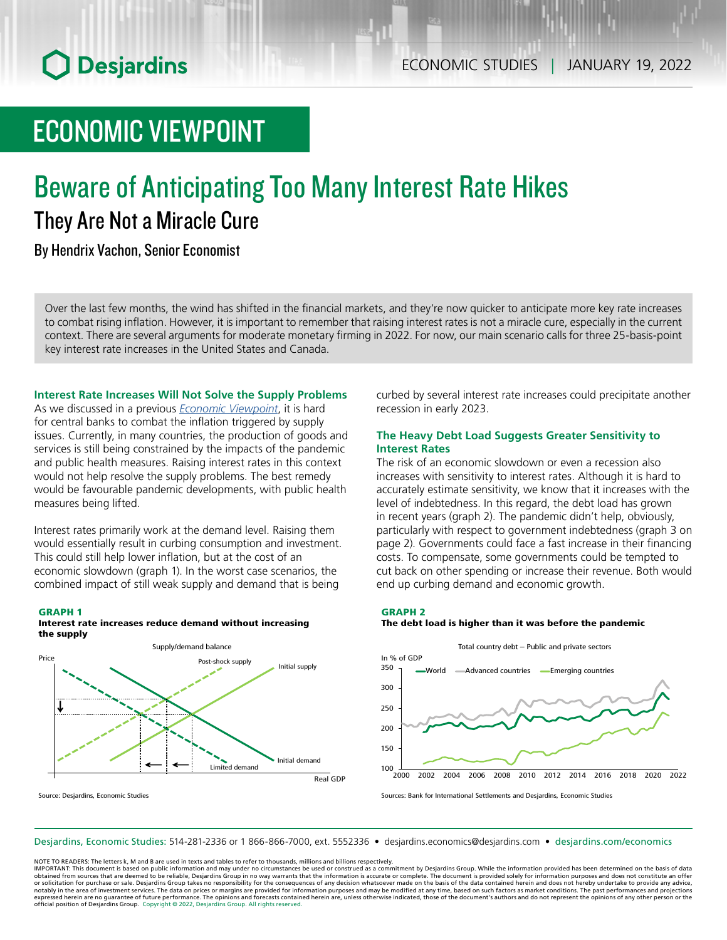# **O** Desjardins

## ECONOMIC VIEWPOINT

## Beware of Anticipating Too Many Interest Rate Hikes They Are Not a Miracle Cure

By Hendrix Vachon, Senior Economist

Over the last few months, the wind has shifted in the financial markets, and they're now quicker to anticipate more key rate increases to combat rising inflation. However, it is important to remember that raising interest rates is not a miracle cure, especially in the current context. There are several arguments for moderate monetary firming in 2022. For now, our main scenario calls for three 25‑basis-point key interest rate increases in the United States and Canada.

**Interest Rate Increases Will Not Solve the Supply Problems**

As we discussed in a previous *Economic [Viewpoint](https://www.desjardins.com/ressources/pdf/pv211026-e.pdf?resVer=1635256879000)*, it is hard for central banks to combat the inflation triggered by supply issues. Currently, in many countries, the production of goods and services is still being constrained by the impacts of the pandemic and public health measures. Raising interest rates in this context would not help resolve the supply problems. The best remedy would be favourable pandemic developments, with public health measures being lifted.

Interest rates primarily work at the demand level. Raising them would essentially result in curbing consumption and investment. This could still help lower inflation, but at the cost of an economic slowdown (graph 1). In the worst case scenarios, the combined impact of still weak supply and demand that is being

#### GRAPH 1 Interest rate increases reduce demand without increasing the supply



Source: Desjardins, Economic Studies

curbed by several interest rate increases could precipitate another recession in early 2023.

### **The Heavy Debt Load Suggests Greater Sensitivity to Interest Rates**

The risk of an economic slowdown or even a recession also increases with sensitivity to interest rates. Although it is hard to accurately estimate sensitivity, we know that it increases with the level of indebtedness. In this regard, the debt load has grown in recent years (graph 2). The pandemic didn't help, obviously, particularly with respect to government indebtedness (graph 3 on page 2). Governments could face a fast increase in their financing costs. To compensate, some governments could be tempted to cut back on other spending or increase their revenue. Both would end up curbing demand and economic growth.

#### GRAPH 2

### The debt load is higher than it was before the pandemic



Sources: Bank for International Settlements and Desjardins, Economic Studies

Desjardins, Economic Studies: 514‑281‑2336 or 1 866‑866‑7000, ext. 5552336 • desjardins.economics@desjardins.com • [desjardins.com/economics](http://desjardins.com/economics)

NOTE TO READERS: The letters k, M and B are used in texts and tables to refer to thousands, millions and billions respectively.

IMPORTANT: This document is based on public information and may under no circumstances be used or construed as a commitment by Desjardins Group. While the information provided has been determined on the basis of data obtained from sources that are deemed to be reliable, Desjardins Group in no way warrants that the information is accurate or complete. The document is provided solely for information purposes and does not constitute an of notably in the area of investment services. The data on prices or margins are provided for information purposes and may be modified at any time, based on such factors as market conditions. The past performances and project expressed herein are no guarantee of future performance. The opinions and forecasts contained herein are, unless otherwise indicated, those of the document's authors and do not represent the opinions of any other person or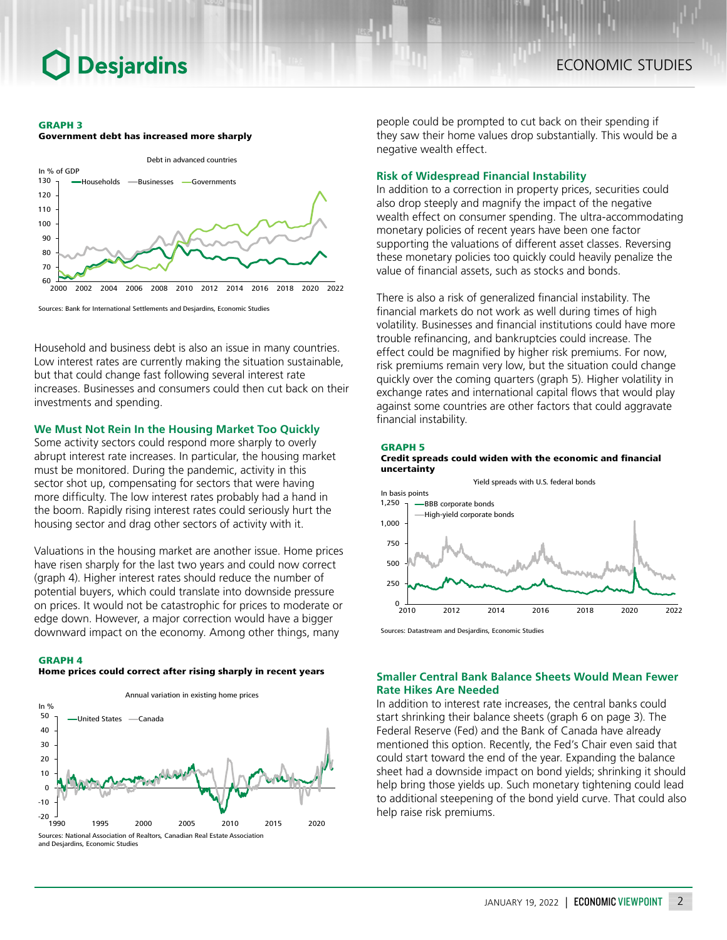## **Desjardins**

#### GRAPH 3

Government debt has increased more sharply



Sources: Bank for International Settlements and Desjardins, Economic Studies

Household and business debt is also an issue in many countries. Low interest rates are currently making the situation sustainable, but that could change fast following several interest rate increases. Businesses and consumers could then cut back on their investments and spending.

### **We Must Not Rein In the Housing Market Too Quickly**

Some activity sectors could respond more sharply to overly abrupt interest rate increases. In particular, the housing market must be monitored. During the pandemic, activity in this sector shot up, compensating for sectors that were having more difficulty. The low interest rates probably had a hand in the boom. Rapidly rising interest rates could seriously hurt the housing sector and drag other sectors of activity with it.

Valuations in the housing market are another issue. Home prices have risen sharply for the last two years and could now correct (graph 4). Higher interest rates should reduce the number of potential buyers, which could translate into downside pressure on prices. It would not be catastrophic for prices to moderate or edge down. However, a major correction would have a bigger downward impact on the economy. Among other things, many

#### GRAPH 4

#### Home prices could correct after rising sharply in recent years



people could be prompted to cut back on their spending if they saw their home values drop substantially. This would be a negative wealth effect.

### **Risk of Widespread Financial Instability**

In addition to a correction in property prices, securities could also drop steeply and magnify the impact of the negative wealth effect on consumer spending. The ultra-accommodating monetary policies of recent years have been one factor supporting the valuations of different asset classes. Reversing these monetary policies too quickly could heavily penalize the value of financial assets, such as stocks and bonds.

There is also a risk of generalized financial instability. The financial markets do not work as well during times of high volatility. Businesses and financial institutions could have more trouble refinancing, and bankruptcies could increase. The effect could be magnified by higher risk premiums. For now, risk premiums remain very low, but the situation could change quickly over the coming quarters (graph 5). Higher volatility in exchange rates and international capital flows that would play against some countries are other factors that could aggravate financial instability.

#### GRAPH 5





Sources: Datastream and Desjardins, Economic Studies

### **Smaller Central Bank Balance Sheets Would Mean Fewer Rate Hikes Are Needed**

In addition to interest rate increases, the central banks could start shrinking their balance sheets (graph 6 on page 3). The Federal Reserve (Fed) and the Bank of Canada have already mentioned this option. Recently, the Fed's Chair even said that could start toward the end of the year. Expanding the balance sheet had a downside impact on bond yields; shrinking it should help bring those yields up. Such monetary tightening could lead to additional steepening of the bond yield curve. That could also help raise risk premiums.